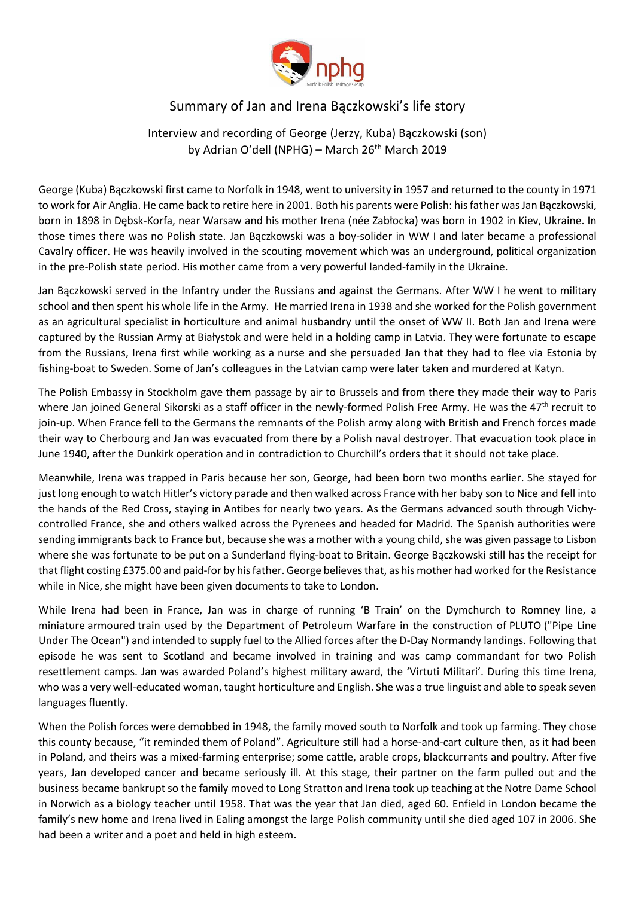

## Summary of Jan and Irena Bączkowski's life story

## Interview and recording of George (Jerzy, Kuba) Bączkowski (son) by Adrian O'dell (NPHG) – March 26<sup>th</sup> March 2019

George (Kuba) Bączkowski first came to Norfolk in 1948, went to university in 1957 and returned to the county in 1971 to work for Air Anglia. He came back to retire here in 2001. Both his parents were Polish: his father was Jan Bączkowski, born in 1898 in Dębsk-Korfa, near Warsaw and his mother Irena (née Zabłocka) was born in 1902 in Kiev, Ukraine. In those times there was no Polish state. Jan Bączkowski was a boy-solider in WW I and later became a professional Cavalry officer. He was heavily involved in the scouting movement which was an underground, political organization in the pre-Polish state period. His mother came from a very powerful landed-family in the Ukraine.

Jan Bączkowski served in the Infantry under the Russians and against the Germans. After WW I he went to military school and then spent his whole life in the Army. He married Irena in 1938 and she worked for the Polish government as an agricultural specialist in horticulture and animal husbandry until the onset of WW II. Both Jan and Irena were captured by the Russian Army at Białystok and were held in a holding camp in Latvia. They were fortunate to escape from the Russians, Irena first while working as a nurse and she persuaded Jan that they had to flee via Estonia by fishing-boat to Sweden. Some of Jan's colleagues in the Latvian camp were later taken and murdered at Katyn.

The Polish Embassy in Stockholm gave them passage by air to Brussels and from there they made their way to Paris where Jan joined General Sikorski as a staff officer in the newly-formed Polish Free Army. He was the  $47<sup>th</sup>$  recruit to join-up. When France fell to the Germans the remnants of the Polish army along with British and French forces made their way to Cherbourg and Jan was evacuated from there by a Polish naval destroyer. That evacuation took place in June 1940, after the Dunkirk operation and in contradiction to Churchill's orders that it should not take place.

Meanwhile, Irena was trapped in Paris because her son, George, had been born two months earlier. She stayed for just long enough to watch Hitler's victory parade and then walked across France with her baby son to Nice and fell into the hands of the Red Cross, staying in Antibes for nearly two years. As the Germans advanced south through Vichycontrolled France, she and others walked across the Pyrenees and headed for Madrid. The Spanish authorities were sending immigrants back to France but, because she was a mother with a young child, she was given passage to Lisbon where she was fortunate to be put on a Sunderland flying-boat to Britain. George Bączkowski still has the receipt for that flight costing £375.00 and paid-for by his father. George believes that, as his mother had worked for the Resistance while in Nice, she might have been given documents to take to London.

While Irena had been in France, Jan was in charge of running 'B Train' on the Dymchurch to Romney line, a miniature armoured train used by the Department of Petroleum Warfare in the construction of PLUTO ("Pipe Line Under The Ocean") and intended to supply fuel to the Allied forces after the D-Day Normandy landings. Following that episode he was sent to Scotland and became involved in training and was camp commandant for two Polish resettlement camps. Jan was awarded Poland's highest military award, the 'Virtuti Militari'. During this time Irena, who was a very well-educated woman, taught horticulture and English. She was a true linguist and able to speak seven languages fluently.

When the Polish forces were demobbed in 1948, the family moved south to Norfolk and took up farming. They chose this county because, "it reminded them of Poland". Agriculture still had a horse-and-cart culture then, as it had been in Poland, and theirs was a mixed-farming enterprise; some cattle, arable crops, blackcurrants and poultry. After five years, Jan developed cancer and became seriously ill. At this stage, their partner on the farm pulled out and the business became bankrupt so the family moved to Long Stratton and Irena took up teaching at the Notre Dame School in Norwich as a biology teacher until 1958. That was the year that Jan died, aged 60. Enfield in London became the family's new home and Irena lived in Ealing amongst the large Polish community until she died aged 107 in 2006. She had been a writer and a poet and held in high esteem.